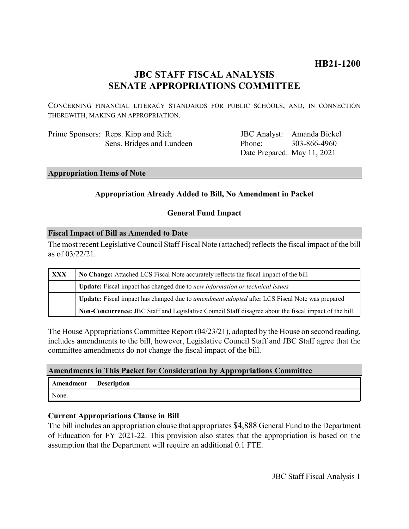# **HB21-1200**

# **JBC STAFF FISCAL ANALYSIS SENATE APPROPRIATIONS COMMITTEE**

CONCERNING FINANCIAL LITERACY STANDARDS FOR PUBLIC SCHOOLS, AND, IN CONNECTION THEREWITH, MAKING AN APPROPRIATION.

| Prime Sponsors: Reps. Kipp and Rich |
|-------------------------------------|
| Sens. Bridges and Lundeen           |

JBC Analyst: Amanda Bickel Phone: Date Prepared: May 11, 2021 303-866-4960

#### **Appropriation Items of Note**

# **Appropriation Already Added to Bill, No Amendment in Packet**

## **General Fund Impact**

#### **Fiscal Impact of Bill as Amended to Date**

The most recent Legislative Council Staff Fiscal Note (attached) reflects the fiscal impact of the bill as of 03/22/21.

| XXX | No Change: Attached LCS Fiscal Note accurately reflects the fiscal impact of the bill                 |  |
|-----|-------------------------------------------------------------------------------------------------------|--|
|     | <b>Update:</b> Fiscal impact has changed due to new information or technical issues                   |  |
|     | Update: Fiscal impact has changed due to <i>amendment adopted</i> after LCS Fiscal Note was prepared  |  |
|     | Non-Concurrence: JBC Staff and Legislative Council Staff disagree about the fiscal impact of the bill |  |

The House Appropriations Committee Report (04/23/21), adopted by the House on second reading, includes amendments to the bill, however, Legislative Council Staff and JBC Staff agree that the committee amendments do not change the fiscal impact of the bill.

#### **Amendments in This Packet for Consideration by Appropriations Committee**

| Amendment Description |  |
|-----------------------|--|
| None.                 |  |

# **Current Appropriations Clause in Bill**

The bill includes an appropriation clause that appropriates \$4,888 General Fund to the Department of Education for FY 2021-22. This provision also states that the appropriation is based on the assumption that the Department will require an additional 0.1 FTE.